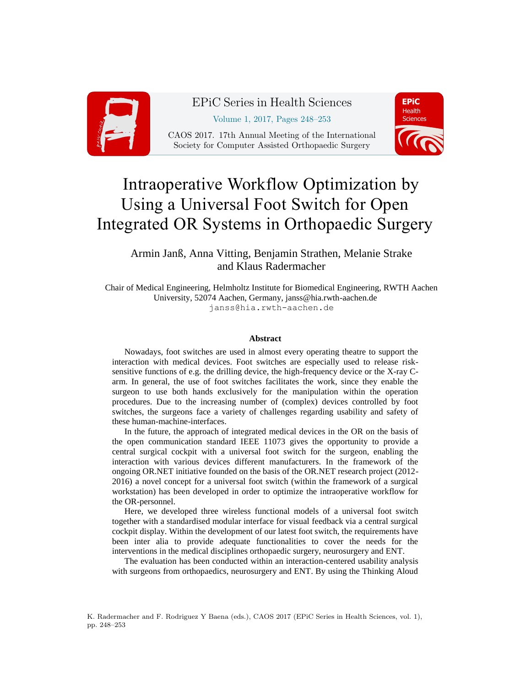

EPiC Series in Health Sciences Volume 1, 2017, Pages 248–253 CAOS 2017. 17th Annual Meeting of the International Society for Computer Assisted Orthopaedic Surgery



# Intraoperative Workflow Optimization by Using a Universal Foot Switch for Open Integrated OR Systems in Orthopaedic Surgery

Armin Janß, Anna Vitting, Benjamin Strathen, Melanie Strake and Klaus Radermacher

Chair of Medical Engineering, Helmholtz Institute for Biomedical Engineering, RWTH Aachen University, 52074 Aachen, Germany, janss@hia.rwth-aachen.de janss@hia.rwth-aachen.de

#### **Abstract**

Nowadays, foot switches are used in almost every operating theatre to support the interaction with medical devices. Foot switches are especially used to release risksensitive functions of e.g. the drilling device, the high-frequency device or the X-ray Carm. In general, the use of foot switches facilitates the work, since they enable the surgeon to use both hands exclusively for the manipulation within the operation procedures. Due to the increasing number of (complex) devices controlled by foot switches, the surgeons face a variety of challenges regarding usability and safety of these human-machine-interfaces.

In the future, the approach of integrated medical devices in the OR on the basis of the open communication standard IEEE 11073 gives the opportunity to provide a central surgical cockpit with a universal foot switch for the surgeon, enabling the interaction with various devices different manufacturers. In the framework of the ongoing OR.NET initiative founded on the basis of the OR.NET research project (2012- 2016) a novel concept for a universal foot switch (within the framework of a surgical workstation) has been developed in order to optimize the intraoperative workflow for the OR-personnel.

Here, we developed three wireless functional models of a universal foot switch together with a standardised modular interface for visual feedback via a central surgical cockpit display. Within the development of our latest foot switch, the requirements have been inter alia to provide adequate functionalities to cover the needs for the interventions in the medical disciplines orthopaedic surgery, neurosurgery and ENT.

The evaluation has been conducted within an interaction-centered usability analysis with surgeons from orthopaedics, neurosurgery and ENT. By using the Thinking Aloud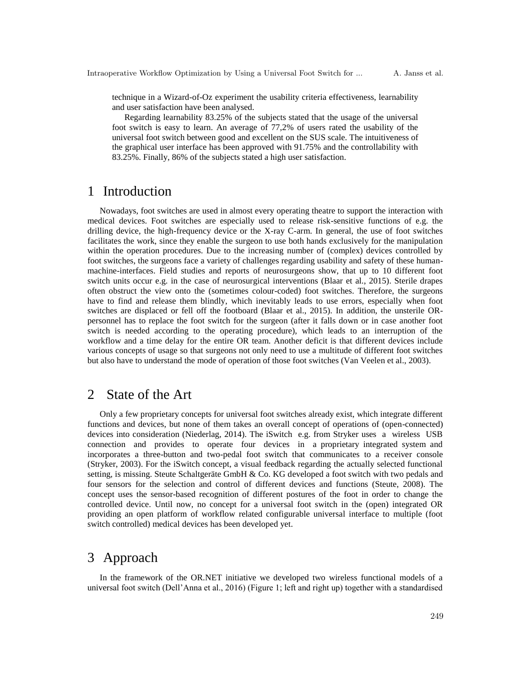technique in a Wizard-of-Oz experiment the usability criteria effectiveness, learnability and user satisfaction have been analysed.

Regarding learnability 83.25% of the subjects stated that the usage of the universal foot switch is easy to learn. An average of 77,2% of users rated the usability of the universal foot switch between good and excellent on the SUS scale. The intuitiveness of the graphical user interface has been approved with 91.75% and the controllability with 83.25%. Finally, 86% of the subjects stated a high user satisfaction.

## 1 Introduction

Nowadays, foot switches are used in almost every operating theatre to support the interaction with medical devices. Foot switches are especially used to release risk-sensitive functions of e.g. the drilling device, the high-frequency device or the X-ray C-arm. In general, the use of foot switches facilitates the work, since they enable the surgeon to use both hands exclusively for the manipulation within the operation procedures. Due to the increasing number of (complex) devices controlled by foot switches, the surgeons face a variety of challenges regarding usability and safety of these humanmachine-interfaces. Field studies and reports of neurosurgeons show, that up to 10 different foot switch units occur e.g. in the case of neurosurgical interventions (Blaar et al., 2015). Sterile drapes often obstruct the view onto the (sometimes colour-coded) foot switches. Therefore, the surgeons have to find and release them blindly, which inevitably leads to use errors, especially when foot switches are displaced or fell off the footboard (Blaar et al., 2015). In addition, the unsterile ORpersonnel has to replace the foot switch for the surgeon (after it falls down or in case another foot switch is needed according to the operating procedure), which leads to an interruption of the workflow and a time delay for the entire OR team. Another deficit is that different devices include various concepts of usage so that surgeons not only need to use a multitude of different foot switches but also have to understand the mode of operation of those foot switches (Van Veelen et al., 2003).

# 2 State of the Art

Only a few proprietary concepts for universal foot switches already exist, which integrate different functions and devices, but none of them takes an overall concept of operations of (open-connected) devices into consideration (Niederlag, 2014). The iSwitch e.g. from Stryker uses a wireless USB connection and provides to operate four devices in a proprietary integrated system and incorporates a three-button and two-pedal foot switch that communicates to a receiver console (Stryker, 2003). For the iSwitch concept, a visual feedback regarding the actually selected functional setting, is missing. Steute Schaltgeräte GmbH & Co. KG developed a foot switch with two pedals and four sensors for the selection and control of different devices and functions (Steute, 2008). The concept uses the sensor-based recognition of different postures of the foot in order to change the controlled device. Until now, no concept for a universal foot switch in the (open) integrated OR providing an open platform of workflow related configurable universal interface to multiple (foot switch controlled) medical devices has been developed yet.

# 3 Approach

In the framework of the OR.NET initiative we developed two wireless functional models of a universal foot switch (Dell'Anna et al., 2016) (Figure 1; left and right up) together with a standardised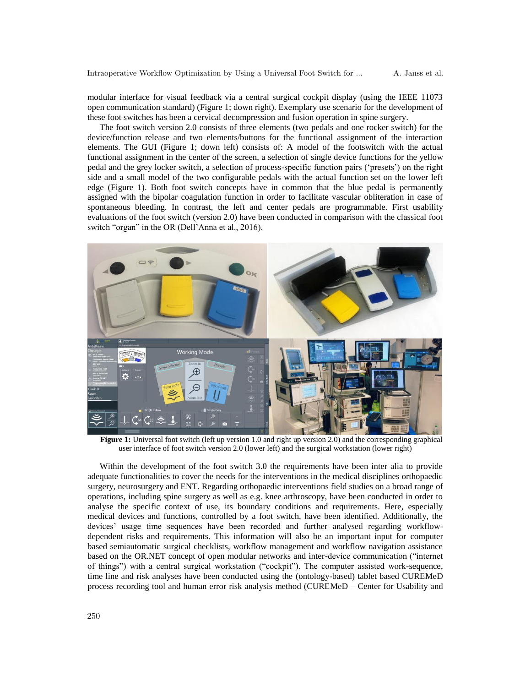modular interface for visual feedback via a central surgical cockpit display (using the IEEE 11073 open communication standard) (Figure 1; down right). Exemplary use scenario for the development of these foot switches has been a cervical decompression and fusion operation in spine surgery.

The foot switch version 2.0 consists of three elements (two pedals and one rocker switch) for the device/function release and two elements/buttons for the functional assignment of the interaction elements. The GUI (Figure 1; down left) consists of: A model of the footswitch with the actual functional assignment in the center of the screen, a selection of single device functions for the yellow pedal and the grey locker switch, a selection of process-specific function pairs ('presets') on the right side and a small model of the two configurable pedals with the actual function set on the lower left edge (Figure 1). Both foot switch concepts have in common that the blue pedal is permanently assigned with the bipolar coagulation function in order to facilitate vascular obliteration in case of spontaneous bleeding. In contrast, the left and center pedals are programmable. First usability evaluations of the foot switch (version 2.0) have been conducted in comparison with the classical foot switch "organ" in the OR (Dell'Anna et al., 2016).



**Figure 1:** Universal foot switch (left up version 1.0 and right up version 2.0) and the corresponding graphical user interface of foot switch version 2.0 (lower left) and the surgical workstation (lower right)

Within the development of the foot switch 3.0 the requirements have been inter alia to provide adequate functionalities to cover the needs for the interventions in the medical disciplines orthopaedic surgery, neurosurgery and ENT. Regarding orthopaedic interventions field studies on a broad range of operations, including spine surgery as well as e.g. knee arthroscopy, have been conducted in order to analyse the specific context of use, its boundary conditions and requirements. Here, especially medical devices and functions, controlled by a foot switch, have been identified. Additionally, the devices' usage time sequences have been recorded and further analysed regarding workflowdependent risks and requirements. This information will also be an important input for computer based semiautomatic surgical checklists, workflow management and workflow navigation assistance based on the OR.NET concept of open modular networks and inter-device communication ("internet of things") with a central surgical workstation ("cockpit"). The computer assisted work-sequence, time line and risk analyses have been conducted using the (ontology-based) tablet based CUREMeD process recording tool and human error risk analysis method (CUREMeD – Center for Usability and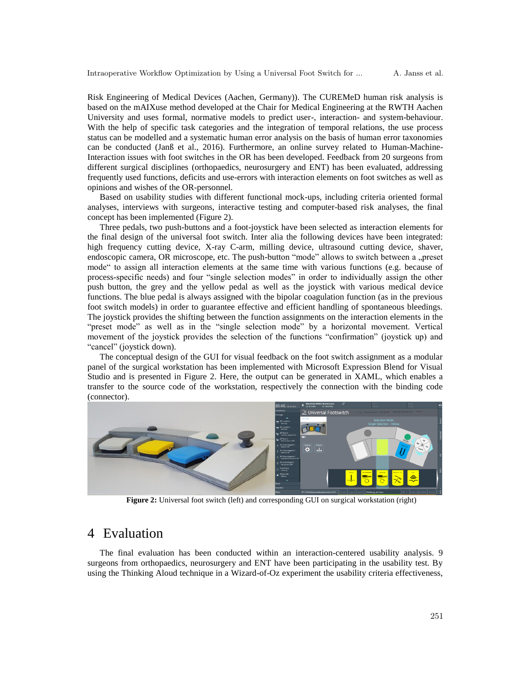Risk Engineering of Medical Devices (Aachen, Germany)). The CUREMeD human risk analysis is based on the mAIXuse method developed at the Chair for Medical Engineering at the RWTH Aachen University and uses formal, normative models to predict user-, interaction- and system-behaviour. With the help of specific task categories and the integration of temporal relations, the use process status can be modelled and a systematic human error analysis on the basis of human error taxonomies can be conducted (Janß et al., 2016). Furthermore, an online survey related to Human-Machine-Interaction issues with foot switches in the OR has been developed. Feedback from 20 surgeons from different surgical disciplines (orthopaedics, neurosurgery and ENT) has been evaluated, addressing frequently used functions, deficits and use-errors with interaction elements on foot switches as well as opinions and wishes of the OR-personnel.

Based on usability studies with different functional mock-ups, including criteria oriented formal analyses, interviews with surgeons, interactive testing and computer-based risk analyses, the final concept has been implemented (Figure 2).

Three pedals, two push-buttons and a foot-joystick have been selected as interaction elements for the final design of the universal foot switch. Inter alia the following devices have been integrated: high frequency cutting device, X-ray C-arm, milling device, ultrasound cutting device, shaver, endoscopic camera, OR microscope, etc. The push-button "mode" allows to switch between a "preset mode" to assign all interaction elements at the same time with various functions (e.g. because of process-specific needs) and four "single selection modes" in order to individually assign the other push button, the grey and the yellow pedal as well as the joystick with various medical device functions. The blue pedal is always assigned with the bipolar coagulation function (as in the previous foot switch models) in order to guarantee effective and efficient handling of spontaneous bleedings. The joystick provides the shifting between the function assignments on the interaction elements in the "preset mode" as well as in the "single selection mode" by a horizontal movement. Vertical movement of the joystick provides the selection of the functions "confirmation" (joystick up) and "cancel" (joystick down).

The conceptual design of the GUI for visual feedback on the foot switch assignment as a modular panel of the surgical workstation has been implemented with Microsoft Expression Blend for Visual Studio and is presented in Figure 2. Here, the output can be generated in XAML, which enables a transfer to the source code of the workstation, respectively the connection with the binding code (connector).



**Figure 2:** Universal foot switch (left) and corresponding GUI on surgical workstation (right)

## 4 Evaluation

The final evaluation has been conducted within an interaction-centered usability analysis. 9 surgeons from orthopaedics, neurosurgery and ENT have been participating in the usability test. By using the Thinking Aloud technique in a Wizard-of-Oz experiment the usability criteria effectiveness,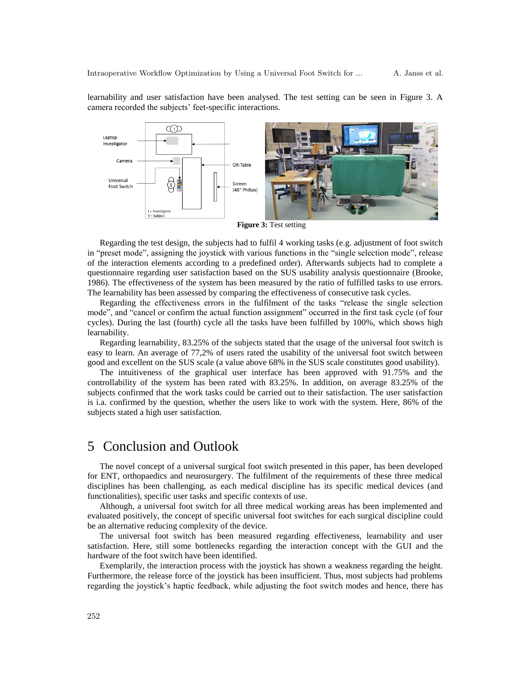learnability and user satisfaction have been analysed. The test setting can be seen in Figure 3. A camera recorded the subjects' feet-specific interactions.



Regarding the test design, the subjects had to fulfil 4 working tasks (e.g. adjustment of foot switch in "preset mode", assigning the joystick with various functions in the "single selection mode", release of the interaction elements according to a predefined order). Afterwards subjects had to complete a questionnaire regarding user satisfaction based on the SUS usability analysis questionnaire (Brooke, 1986). The effectiveness of the system has been measured by the ratio of fulfilled tasks to use errors. The learnability has been assessed by comparing the effectiveness of consecutive task cycles.

Regarding the effectiveness errors in the fulfilment of the tasks "release the single selection mode", and "cancel or confirm the actual function assignment" occurred in the first task cycle (of four cycles). During the last (fourth) cycle all the tasks have been fulfilled by 100%, which shows high learnability.

Regarding learnability, 83.25% of the subjects stated that the usage of the universal foot switch is easy to learn. An average of 77,2% of users rated the usability of the universal foot switch between good and excellent on the SUS scale (a value above 68% in the SUS scale constitutes good usability).

The intuitiveness of the graphical user interface has been approved with 91.75% and the controllability of the system has been rated with 83.25%. In addition, on average 83.25% of the subjects confirmed that the work tasks could be carried out to their satisfaction. The user satisfaction is i.a. confirmed by the question, whether the users like to work with the system. Here, 86% of the subjects stated a high user satisfaction.

#### 5 Conclusion and Outlook

The novel concept of a universal surgical foot switch presented in this paper, has been developed for ENT, orthopaedics and neurosurgery. The fulfilment of the requirements of these three medical disciplines has been challenging, as each medical discipline has its specific medical devices (and functionalities), specific user tasks and specific contexts of use.

Although, a universal foot switch for all three medical working areas has been implemented and evaluated positively, the concept of specific universal foot switches for each surgical discipline could be an alternative reducing complexity of the device.

The universal foot switch has been measured regarding effectiveness, learnability and user satisfaction. Here, still some bottlenecks regarding the interaction concept with the GUI and the hardware of the foot switch have been identified.

Exemplarily, the interaction process with the joystick has shown a weakness regarding the height. Furthermore, the release force of the joystick has been insufficient. Thus, most subjects had problems regarding the joystick's haptic feedback, while adjusting the foot switch modes and hence, there has